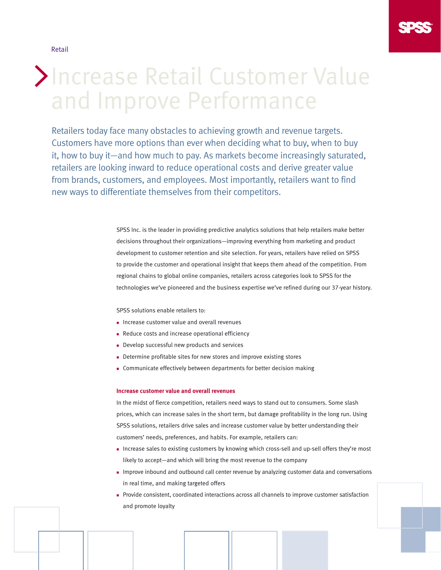Retail



# Increase Retail Customer Value and Improve Performance

Retailers today face many obstacles to achieving growth and revenue targets. Customers have more options than ever when deciding what to buy, when to buy it, how to buy it—and how much to pay. As markets become increasingly saturated, retailers are looking inward to reduce operational costs and derive greater value from brands, customers, and employees. Most importantly, retailers want to find new ways to differentiate themselves from their competitors.

> SPSS Inc. is the leader in providing predictive analytics solutions that help retailers make better decisions throughout their organizations—improving everything from marketing and product development to customer retention and site selection. For years, retailers have relied on SPSS to provide the customer and operational insight that keeps them ahead of the competition. From regional chains to global online companies, retailers across categories look to SPSS for the technologies we've pioneered and the business expertise we've refined during our 37-year history.

SPSS solutions enable retailers to:

- <sup>n</sup> Increase customer value and overall revenues
- Reduce costs and increase operational efficiency
- Develop successful new products and services
- <sup>n</sup> Determine profitable sites for new stores and improve existing stores
- <sup>n</sup> Communicate effectively between departments for better decision making

#### **Increase customer value and overall revenues**

In the midst of fierce competition, retailers need ways to stand out to consumers. Some slash prices, which can increase sales in the short term, but damage profitability in the long run. Using SPSS solutions, retailers drive sales and increase customer value by better understanding their customers' needs, preferences, and habits. For example, retailers can:

- n Increase sales to existing customers by knowing which cross-sell and up-sell offers they're most likely to accept—and which will bring the most revenue to the company
- <sup>n</sup> Improve inbound and outbound call center revenue by analyzing customer data and conversations in real time, and making targeted offers
- <sup>n</sup> Provide consistent, coordinated interactions across all channels to improve customer satisfaction and promote loyalty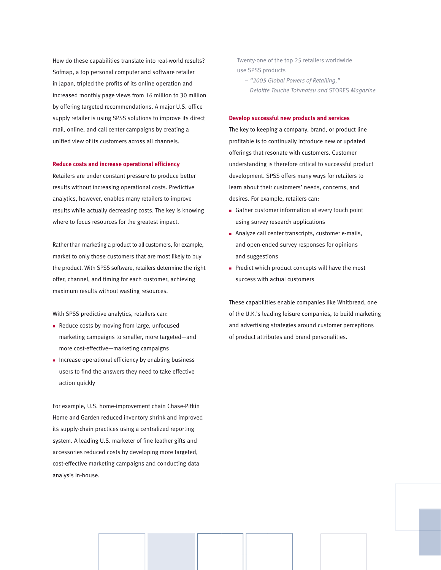How do these capabilities translate into real-world results? Sofmap, a top personal computer and software retailer in Japan, tripled the profits of its online operation and increased monthly page views from 16 million to 30 million by offering targeted recommendations. A major U.S. office supply retailer is using SPSS solutions to improve its direct mail, online, and call center campaigns by creating a unified view of its customers across all channels.

#### **Reduce costs and increase operational efficiency**

Retailers are under constant pressure to produce better results without increasing operational costs. Predictive analytics, however, enables many retailers to improve results while actually decreasing costs. The key is knowing where to focus resources for the greatest impact.

Rather than marketing a product to all customers, for example, market to only those customers that are most likely to buy the product. With SPSS software, retailers determine the right offer, channel, and timing for each customer, achieving maximum results without wasting resources.

With SPSS predictive analytics, retailers can:

- Reduce costs by moving from large, unfocused marketing campaigns to smaller, more targeted—and more cost-effective—marketing campaigns
- n Increase operational efficiency by enabling business users to find the answers they need to take effective action quickly

For example, U.S. home-improvement chain Chase-Pitkin Home and Garden reduced inventory shrink and improved its supply-chain practices using a centralized reporting system. A leading U.S. marketer of fine leather gifts and accessories reduced costs by developing more targeted, cost-effective marketing campaigns and conducting data analysis in-house.

Twenty-one of the top 25 retailers worldwide use SPSS products

 – *"2005 Global Powers of Retailing," Deloitte Touche Tohmatsu and* STORES *Magazine* 

# **Develop successful new products and services**

The key to keeping a company, brand, or product line profitable is to continually introduce new or updated offerings that resonate with customers. Customer understanding is therefore critical to successful product development. SPSS offers many ways for retailers to learn about their customers' needs, concerns, and desires. For example, retailers can:

- <sup>n</sup> Gather customer information at every touch point using survey research applications
- <sup>n</sup> Analyze call center transcripts, customer e-mails, and open-ended survey responses for opinions and suggestions
- $\blacksquare$  Predict which product concepts will have the most success with actual customers

These capabilities enable companies like Whitbread, one of the U.K.'s leading leisure companies, to build marketing and advertising strategies around customer perceptions of product attributes and brand personalities.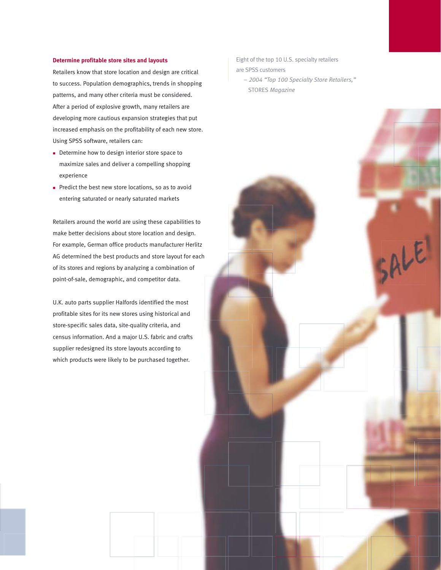#### **Determine profitable store sites and layouts**

Retailers know that store location and design are critical to success. Population demographics, trends in shopping patterns, and many other criteria must be considered. After a period of explosive growth, many retailers are developing more cautious expansion strategies that put increased emphasis on the profitability of each new store. Using SPSS software, retailers can:

- Determine how to design interior store space to maximize sales and deliver a compelling shopping experience
- n Predict the best new store locations, so as to avoid entering saturated or nearly saturated markets

Retailers around the world are using these capabilities to make better decisions about store location and design. For example, German office products manufacturer Herlitz AG determined the best products and store layout for each of its stores and regions by analyzing a combination of point-of-sale, demographic, and competitor data.

U.K. auto parts supplier Halfords identified the most profitable sites for its new stores using historical and store-specific sales data, site-quality criteria, and census information. And a major U.S. fabric and crafts supplier redesigned its store layouts according to which products were likely to be purchased together.

Eight of the top 10 U.S. specialty retailers are SPSS customers

 *– 2004 "Top 100 Specialty Store Retailers,"* STORES *Magazine* 

SALE